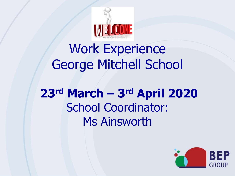

## Work Experience George Mitchell School

## **23rd March – 3rd April 2020** School Coordinator: Ms Ainsworth

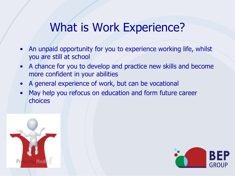### What is Work Experience?

- An unpaid opportunity for you to experience working life, whilst you are still at school
- A chance for you to develop and practice new skills and become more confident in your abilities
- A general experience of work, but can be vocational
- May help you refocus on education and form future career choices



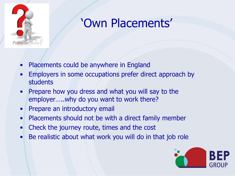

## 'Own Placements'

- Placements could be anywhere in England
- Employers in some occupations prefer direct approach by students
- Prepare how you dress and what you will say to the employer…..why do you want to work there?
- Prepare an introductory email
- Placements should not be with a direct family member
- Check the journey route, times and the cost
- Be realistic about what work you will do in that job role

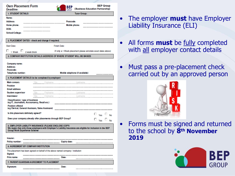| <b>Own Placement Form</b><br>Deadline:                                                                                                                                                                 |                                   | BEP                                                            | (Business Education Partnership) | <b>BEP Group</b>                                 |
|--------------------------------------------------------------------------------------------------------------------------------------------------------------------------------------------------------|-----------------------------------|----------------------------------------------------------------|----------------------------------|--------------------------------------------------|
| <b>1. STUDENT DETAILS</b>                                                                                                                                                                              |                                   | <b>Tutor Group:</b>                                            |                                  |                                                  |
| Name:<br>Address:<br>Home phone:<br>DOB:<br>School/College:                                                                                                                                            |                                   | Postcode:<br>Mobile phone:                                     |                                  |                                                  |
| 2. PLACEMENT DATES - check and change if required.                                                                                                                                                     |                                   |                                                                |                                  |                                                  |
| <b>Start Date:</b>                                                                                                                                                                                     | Finish Date:                      |                                                                |                                  |                                                  |
| ш<br>1 Week<br>2 week block                                                                                                                                                                            |                                   | (If only a 1 Week placement please annotate exact dates above) |                                  |                                                  |
| 3. COMPANY/INSTITUTION DETAILS (ADDRESS OF WHERE STUDENT WILL BE BASED)                                                                                                                                |                                   |                                                                |                                  |                                                  |
| Company name:<br>Address:<br>Postcode:<br>Telephone number:                                                                                                                                            |                                   | Mobile telephone (if available)                                |                                  | --------------------------                       |
| 4. PLACEMENT DETAILS (to be completed by employer)                                                                                                                                                     |                                   |                                                                |                                  |                                                  |
| Title<br>Main contact:<br><b>Position</b>                                                                                                                                                              | Firstname                         | Lastname                                                       |                                  |                                                  |
| <b>Email address</b>                                                                                                                                                                                   |                                   |                                                                |                                  |                                                  |
| <b>Student supervisor</b>                                                                                                                                                                              | Title Firstname Business Lastname |                                                                |                                  |                                                  |
| Interviewer                                                                                                                                                                                            | Title Firstname Lastname          |                                                                |                                  |                                                  |
| <b>Classification / type of business</b><br>(eg IT, Journalism, Accountancy, Retail etc.)<br><b>Position offered</b><br>(eg Clerical, General Assistant, Sales Assistant)                              |                                   |                                                                |                                  |                                                  |
| Is this placement definitely agreed?                                                                                                                                                                   |                                   |                                                                | $\Box$ $_{\rm Yes}$ $\Box$       | <b>No</b>                                        |
| Does your company already offer placements through BEP Group?                                                                                                                                          |                                   |                                                                |                                  |                                                  |
|                                                                                                                                                                                                        |                                   |                                                                |                                  | $\Box$ $_{\mathsf{Yes}}$ $\Box$ $_{\mathsf{No}}$ |
| 5. EMPLOYER LIABILITY INSURANCE (PLEASE ENCLOSE COPY)<br>We regret that only those employers with Employer's Liability Insurance are eligible for inclusion in the BEP<br>Group Work Experience Scheme |                                   |                                                                |                                  |                                                  |
| Insurer:<br>Policy number:                                                                                                                                                                             |                                   | Expiry date:                                                   |                                  |                                                  |
| 6. AGREEMENT BY COMPANY/INSTITUTION                                                                                                                                                                    |                                   |                                                                |                                  |                                                  |
| This placement has been agreed on behalf of the above named company / institution<br>Signed:                                                                                                           |                                   |                                                                |                                  |                                                  |
| Print name:                                                                                                                                                                                            | Date:                             |                                                                |                                  |                                                  |
| 7. PARENT/GUARDIAN AGREEMENT TO PLACEMENT                                                                                                                                                              |                                   |                                                                |                                  |                                                  |
| Signature:                                                                                                                                                                                             | Date:                             |                                                                |                                  |                                                  |

- The employer **must** have Employer Liability Insurance (ELI)
- All forms **must** be fully completed with all employer contact details
- Must pass a pre-placement check carried out by an approved person



• Forms must be signed and returned to the school by **8th November 2019**

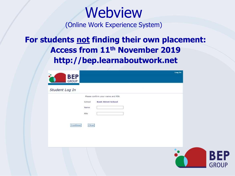# **Webview**

(Online Work Experience System)

### **For students not finding their own placement: Access from 11th November 2019 http://bep.learnaboutwork.net**

| <b>BEP</b><br>GROUP                                                                                                | Log In                     |
|--------------------------------------------------------------------------------------------------------------------|----------------------------|
| Student Log In                                                                                                     |                            |
| Please confirm your name and PIN<br><b>Bash Street School</b><br>School<br>Name<br>PIN<br><b>Continue</b><br>Clear |                            |
|                                                                                                                    | <b>BEP</b><br><b>GROUP</b> |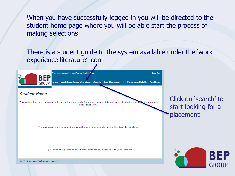When you have successfully logged in you will be directed to the student home page where you will be able start the process of making selections

There is a student guide to the system available under the 'work experience literature' icon

**BEP** 

**GROUF** 

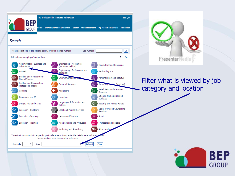



### Filter what is viewed by job category and location

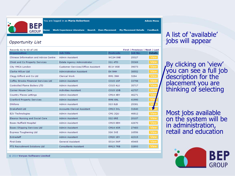

You are logged in as Maria Robertson

**Admin Menu** 

Feedback **Own Placement My Placement Details** Work Experience Literature **Search** 

#### **Opportunity List**

| Records 41 to 60 of 146                |                                           |                 | First   Previous   Next   Las |                |
|----------------------------------------|-------------------------------------------|-----------------|-------------------------------|----------------|
| Organisation                           | <b>Job Title</b>                          | <b>Postcode</b> | Job No.                       | <b>Details</b> |
| Chinese Information and Advice Centre  | <b>Admin Assistant</b>                    | WC2H ONE        | 25327                         | View           |
| Chisti and Co Property Services        | Estate Agency Administrator               | <b>IG1 4TD</b>  | 35369                         | View           |
| City YMCA London                       | <b>Customer Services/Office Assistant</b> | EC1Y 8SE        | 39073                         | View           |
| Clarke Hillyer Ltd                     | <b>Administration Assistant</b>           | <b>E4 9HH</b>   | 38552                         | View           |
| Clegg Gifford and Co Ltd               | <b>Clerical Work</b>                      | RM1 3NH         | 3284                          | View           |
| Coffey Brooks Financial Services Ltd   | <b>Admin Assistant</b>                    | <b>CO15 1SP</b> | 33798                         | <b>View</b>    |
| <b>Controlled Flame Boilers LTD</b>    | <b>Admin Assistant</b>                    | CO15 4LU        | 35717                         | <b>View</b>    |
| <b>Corner House Care</b>               | <b>Activities Assistant</b>               | <b>CO15 1DB</b> | 42707                         | View           |
| <b>Country Places Lettings</b>         | <b>Admin Assistant</b>                    | <b>CM14 4BY</b> | 46271                         | View           |
| <b>Cranford Property Services</b>      | Admin Assistant                           | RM6 6NL         | 41990                         | Vie            |
| <b>Dhillons</b>                        | Admin Assistant                           | IG3 8LB         | 25381                         |                |
| Drakefield Ltd                         | <b>Accounts Clerical Assistant</b>        | <b>CM13 3XL</b> | 31840                         |                |
| E2V Technologies                       | Admin Assistant                           | <b>CM1 2QU</b>  | 46812                         | <b>View</b>    |
| <b>Eleanor Nursing and Social Care</b> | <b>Admin Assistant</b>                    | <b>IG2 6RE</b>  | 20107                         | <b>View</b>    |
| <b>Essex Nuffield Hospital</b>         | <b>Admin Assistant</b>                    | <b>CM15 8EH</b> | 42670                         | View           |
| Essex Shipping Services Ltd            | <b>Admin Assistant</b>                    | <b>CM14 4SR</b> | 27483                         | <b>View</b>    |
| <b>Express Toughening Ltd</b>          | <b>Admin Assistant</b>                    | <b>IG6 3XE</b>  | 16556                         | View           |
| <b>Extrastaff</b>                      | Admin Assistant                           | <b>CM20 1EY</b> | 42315                         | View           |
| <b>First Data</b>                      | <b>General Assistant</b>                  | <b>SS14 3WF</b> | 45465                         | <b>View</b>    |
| <b>FTS Recruitment Solutions Ltd</b>   | <b>Consultants Assistant</b>              | <b>RM13 7RB</b> | 32893                         | View           |
|                                        |                                           |                 |                               |                |

### A list of 'available' jobs will appear

By clicking on 'view' you can see a full job description for the placement you are thinking of selecting

Most jobs available on the system will be in administration, retail and education



@ 2014 Veryan Software Limited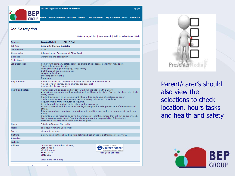You are logged in as Maria Robertson

Log Out

Work Experience Literature Search Own Placement My Placement Details Feedback <sub>me</sub>

#### Job Description

**BEP** 

**GROUP** 

|                      | Return to job list   New search   Add to selections   Help                                                                                                                                                                                                                                                                                                                                                                                                                                                                                                                                                                                                                                                                                                                                                                                                                                                                                                          |
|----------------------|---------------------------------------------------------------------------------------------------------------------------------------------------------------------------------------------------------------------------------------------------------------------------------------------------------------------------------------------------------------------------------------------------------------------------------------------------------------------------------------------------------------------------------------------------------------------------------------------------------------------------------------------------------------------------------------------------------------------------------------------------------------------------------------------------------------------------------------------------------------------------------------------------------------------------------------------------------------------|
| Employer             | Drakefield I td<br><b>CM13 3XI</b>                                                                                                                                                                                                                                                                                                                                                                                                                                                                                                                                                                                                                                                                                                                                                                                                                                                                                                                                  |
| Job Title            | <b>Accounts Clerical Assistant</b>                                                                                                                                                                                                                                                                                                                                                                                                                                                                                                                                                                                                                                                                                                                                                                                                                                                                                                                                  |
| Job Number           | 31840                                                                                                                                                                                                                                                                                                                                                                                                                                                                                                                                                                                                                                                                                                                                                                                                                                                                                                                                                               |
| Classification       | Administration, Business and Office Work                                                                                                                                                                                                                                                                                                                                                                                                                                                                                                                                                                                                                                                                                                                                                                                                                                                                                                                            |
| <b>Business</b>      | warehouse and distribution                                                                                                                                                                                                                                                                                                                                                                                                                                                                                                                                                                                                                                                                                                                                                                                                                                                                                                                                          |
| <b>Skills Gained</b> |                                                                                                                                                                                                                                                                                                                                                                                                                                                                                                                                                                                                                                                                                                                                                                                                                                                                                                                                                                     |
| Job Description      | Comply with company safety policy, be aware of risk assessments that may apply.<br>Student duties may include:<br>Word processing, photocopying, filing, faxing.<br>Distribution of the incoming post<br>Telephone inquiries<br>Invoicing and ordering.<br>Data input                                                                                                                                                                                                                                                                                                                                                                                                                                                                                                                                                                                                                                                                                               |
| Requirements         | Students should be confident, with initiative and able to communicate.<br>A good level of literacy and numeracy are essential.<br>Kevboard skills are useful.                                                                                                                                                                                                                                                                                                                                                                                                                                                                                                                                                                                                                                                                                                                                                                                                       |
| Health and Safety    | An induction will be given on first day, which will include Health & Safety.<br>All electrical equipment used by student such as Photocopier, PC's, Fax, etc. has been electrically<br>safety tested.<br>Student tasks may involve some light lifting of files and packs of photocopier paper.<br>Student must adhere to employers Health & Safety polices and procedures.<br>Regular breaks from computer as required.<br>At no time will the student be left alone on the premises.<br>Parents are reminded that students are legally required to take proper care of themselves and<br>others.<br>It is also an offence to misuse or interfere with anything provided in the interests of Health and<br>Safety.<br>Students may be required to leave the premises at lunchtime where they will not be supervised.<br>Travel arrangements to and from the placement are the responsibility of the student<br>Instruction, Training and Supervision will be given. |
| <b>Hours</b>         | 9:00 to 4:00pm m Mon to Fri                                                                                                                                                                                                                                                                                                                                                                                                                                                                                                                                                                                                                                                                                                                                                                                                                                                                                                                                         |
| Meals                | one Hour Minimum lunch break                                                                                                                                                                                                                                                                                                                                                                                                                                                                                                                                                                                                                                                                                                                                                                                                                                                                                                                                        |
| Travel               | student to arrange                                                                                                                                                                                                                                                                                                                                                                                                                                                                                                                                                                                                                                                                                                                                                                                                                                                                                                                                                  |
| Clothing             | Smart, clean clothes should be worn (shirt and tie) unless told otherwise at interview.                                                                                                                                                                                                                                                                                                                                                                                                                                                                                                                                                                                                                                                                                                                                                                                                                                                                             |
| <b>Interview</b>     |                                                                                                                                                                                                                                                                                                                                                                                                                                                                                                                                                                                                                                                                                                                                                                                                                                                                                                                                                                     |
| Website              |                                                                                                                                                                                                                                                                                                                                                                                                                                                                                                                                                                                                                                                                                                                                                                                                                                                                                                                                                                     |
| <b>Address</b>       | Unit 60, Horndon Industrial Park,<br>Transport for London<br><b>Journey Planner</b><br><b>Station Road</b><br>West Horndon<br>Choose how you want to travel<br><b>BRENTWOOD</b><br>Plan your journey.<br><b>CM13 3XL</b>                                                                                                                                                                                                                                                                                                                                                                                                                                                                                                                                                                                                                                                                                                                                            |
|                      | Click here for a map                                                                                                                                                                                                                                                                                                                                                                                                                                                                                                                                                                                                                                                                                                                                                                                                                                                                                                                                                |
|                      |                                                                                                                                                                                                                                                                                                                                                                                                                                                                                                                                                                                                                                                                                                                                                                                                                                                                                                                                                                     |



Parent/carer's should also view the selections to check location, hours tasks and health and safety

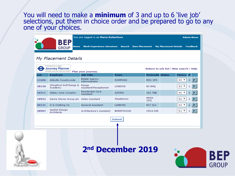You will need to make a **minimum** of 3 and up to 6 'live job' selections, put them in choice order and be prepared to go to any one of your choices.

|            |                                                                                                                    | You are logged in as Maria Robertson   |                                                 |                             | <b>Admin Menu</b>         |  |  |
|------------|--------------------------------------------------------------------------------------------------------------------|----------------------------------------|-------------------------------------------------|-----------------------------|---------------------------|--|--|
|            | RFP<br><b>Home</b><br><b>GROUP</b>                                                                                 |                                        | Work Experience Literature Search Own Placement | <b>My Placement Details</b> | <b>Feedback</b>           |  |  |
|            |                                                                                                                    |                                        |                                                 |                             |                           |  |  |
|            | My Placement Details                                                                                               |                                        |                                                 |                             |                           |  |  |
|            | Transport for London<br>Journey Planner<br>Return to job list   New search   Help<br>Choose how you want to travel |                                        |                                                 |                             |                           |  |  |
| <b>Job</b> | <b>Employer</b>                                                                                                    | Plan your journey.<br><b>Job Title</b> | <b>Town</b>                                     | <b>Postcode Status</b>      | Choice<br>#               |  |  |
| 13206      | Abbotts Countrywide                                                                                                | <b>Estate Agency</b><br>Administrator  | <b>ROMFORD</b>                                  | <b>RM1 1PS</b>              | R5 ▼                      |  |  |
| 38120      | Chingford Golf Range &<br>Academy                                                                                  | Range<br>Assistant/Receptionist        | <b>LONDON</b>                                   | <b>E4 8HQ</b>               | R3 ▼                      |  |  |
| 18311      | Abbey Care Complex                                                                                                 | <b>Residential Care</b><br>Assistant   | <b>ILFORD</b>                                   | <b>IG2 7NE</b>              | R6 ▼                      |  |  |
| 18952      | Game Stores Group plc Sales Assistant                                                                              |                                        | <b>THURROCK</b>                                 | <b>RM20</b><br>2ZQ          | $R2$ $\blacktriangledown$ |  |  |
| 40131      | O G Clothing Co                                                                                                    | <b>General Assistant</b>               | <b>LONDON</b>                                   | E17 3LX                     | $R4$ $\blacktriangledown$ |  |  |
| 28907      | <b>Spatial Design</b><br>Architects                                                                                | Architecture's Assistant               | <b>BRENTWOOD</b>                                | <b>CM14 5JR</b>             | R1 ▼                      |  |  |



### **2nd December 2019**

**Submit** 

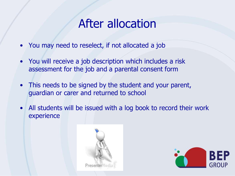### After allocation

- You may need to reselect, if not allocated a job
- You will receive a job description which includes a risk assessment for the job and a parental consent form
- This needs to be signed by the student and your parent, guardian or carer and returned to school
- All students will be issued with a log book to record their work experience



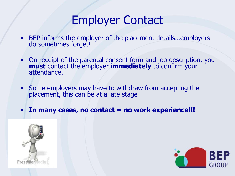### Employer Contact

- BEP informs the employer of the placement details…employers do sometimes forget!
- On receipt of the parental consent form and job description, you **must** contact the employer **immediately** to confirm your attendance.
- Some employers may have to withdraw from accepting the placement, this can be at a late stage
- **In many cases, no contact = no work experience!!!**



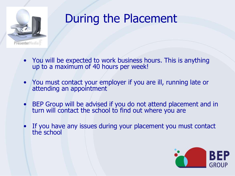

## During the Placement

- You will be expected to work business hours. This is anything up to a maximum of 40 hours per week!
- You must contact your employer if you are ill, running late or attending an appointment
- BEP Group will be advised if you do not attend placement and in turn will contact the school to find out where you are
- If you have any issues during your placement you must contact the school

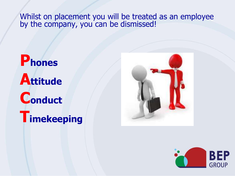Whilst on placement you will be treated as an employee by the company, you can be dismissed!

# **Phones Attitude Conduct Timekeeping**



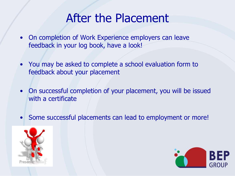### After the Placement

- On completion of Work Experience employers can leave feedback in your log book, have a look!
- You may be asked to complete a school evaluation form to feedback about your placement
- On successful completion of your placement, you will be issued with a certificate
- Some successful placements can lead to employment or more!